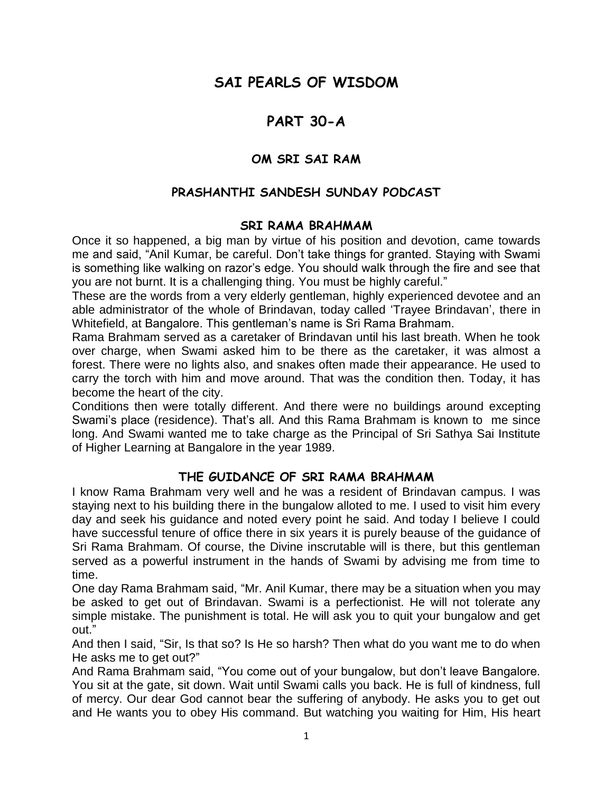# **SAI PEARLS OF WISDOM**

## **PART 30-A**

### **OM SRI SAI RAM**

#### **PRASHANTHI SANDESH SUNDAY PODCAST**

#### **SRI RAMA BRAHMAM**

Once it so happened, a big man by virtue of his position and devotion, came towards me and said, "Anil Kumar, be careful. Don"t take things for granted. Staying with Swami is something like walking on razor"s edge. You should walk through the fire and see that you are not burnt. It is a challenging thing. You must be highly careful."

These are the words from a very elderly gentleman, highly experienced devotee and an able administrator of the whole of Brindavan, today called "Trayee Brindavan", there in Whitefield, at Bangalore. This gentleman"s name is Sri Rama Brahmam.

Rama Brahmam served as a caretaker of Brindavan until his last breath. When he took over charge, when Swami asked him to be there as the caretaker, it was almost a forest. There were no lights also, and snakes often made their appearance. He used to carry the torch with him and move around. That was the condition then. Today, it has become the heart of the city.

Conditions then were totally different. And there were no buildings around excepting Swami"s place (residence). That"s all. And this Rama Brahmam is known to me since long. And Swami wanted me to take charge as the Principal of Sri Sathya Sai Institute of Higher Learning at Bangalore in the year 1989.

#### **THE GUIDANCE OF SRI RAMA BRAHMAM**

I know Rama Brahmam very well and he was a resident of Brindavan campus. I was staying next to his building there in the bungalow alloted to me. I used to visit him every day and seek his guidance and noted every point he said. And today I believe I could have successful tenure of office there in six years it is purely beause of the guidance of Sri Rama Brahmam. Of course, the Divine inscrutable will is there, but this gentleman served as a powerful instrument in the hands of Swami by advising me from time to time.

One day Rama Brahmam said, "Mr. Anil Kumar, there may be a situation when you may be asked to get out of Brindavan. Swami is a perfectionist. He will not tolerate any simple mistake. The punishment is total. He will ask you to quit your bungalow and get out."

And then I said, "Sir, Is that so? Is He so harsh? Then what do you want me to do when He asks me to get out?"

And Rama Brahmam said, "You come out of your bungalow, but don"t leave Bangalore. You sit at the gate, sit down. Wait until Swami calls you back. He is full of kindness, full of mercy. Our dear God cannot bear the suffering of anybody. He asks you to get out and He wants you to obey His command. But watching you waiting for Him, His heart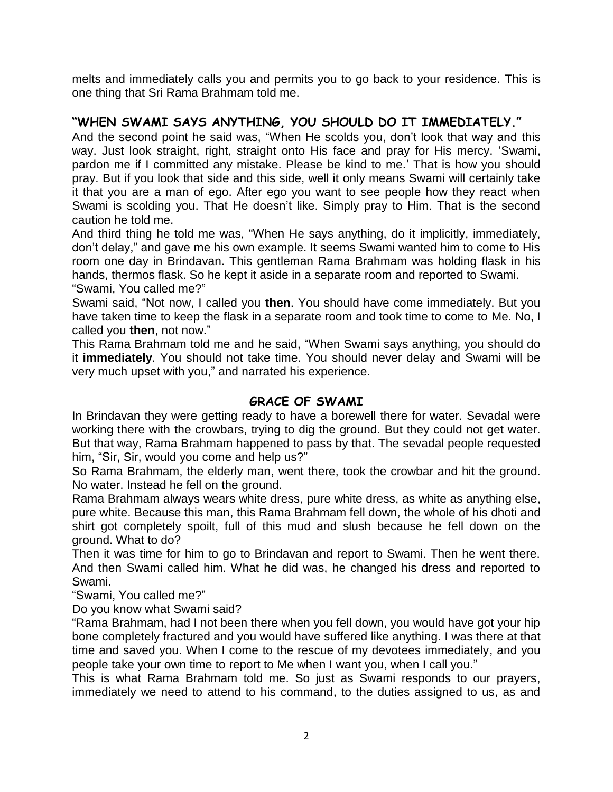melts and immediately calls you and permits you to go back to your residence. This is one thing that Sri Rama Brahmam told me.

### **"WHEN SWAMI SAYS ANYTHING, YOU SHOULD DO IT IMMEDIATELY."**

And the second point he said was, "When He scolds you, don"t look that way and this way. Just look straight, right, straight onto His face and pray for His mercy. "Swami, pardon me if I committed any mistake. Please be kind to me." That is how you should pray. But if you look that side and this side, well it only means Swami will certainly take it that you are a man of ego. After ego you want to see people how they react when Swami is scolding you. That He doesn"t like. Simply pray to Him. That is the second caution he told me.

And third thing he told me was, "When He says anything, do it implicitly, immediately, don"t delay," and gave me his own example. It seems Swami wanted him to come to His room one day in Brindavan. This gentleman Rama Brahmam was holding flask in his hands, thermos flask. So he kept it aside in a separate room and reported to Swami. "Swami, You called me?"

Swami said, "Not now, I called you **then**. You should have come immediately. But you have taken time to keep the flask in a separate room and took time to come to Me. No, I called you **then**, not now."

This Rama Brahmam told me and he said, "When Swami says anything, you should do it **immediately**. You should not take time. You should never delay and Swami will be very much upset with you," and narrated his experience.

#### **GRACE OF SWAMI**

In Brindavan they were getting ready to have a borewell there for water. Sevadal were working there with the crowbars, trying to dig the ground. But they could not get water. But that way, Rama Brahmam happened to pass by that. The sevadal people requested him, "Sir, Sir, would you come and help us?"

So Rama Brahmam, the elderly man, went there, took the crowbar and hit the ground. No water. Instead he fell on the ground.

Rama Brahmam always wears white dress, pure white dress, as white as anything else, pure white. Because this man, this Rama Brahmam fell down, the whole of his dhoti and shirt got completely spoilt, full of this mud and slush because he fell down on the ground. What to do?

Then it was time for him to go to Brindavan and report to Swami. Then he went there. And then Swami called him. What he did was, he changed his dress and reported to Swami.

"Swami, You called me?"

Do you know what Swami said?

"Rama Brahmam, had I not been there when you fell down, you would have got your hip bone completely fractured and you would have suffered like anything. I was there at that time and saved you. When I come to the rescue of my devotees immediately, and you people take your own time to report to Me when I want you, when I call you."

This is what Rama Brahmam told me. So just as Swami responds to our prayers, immediately we need to attend to his command, to the duties assigned to us, as and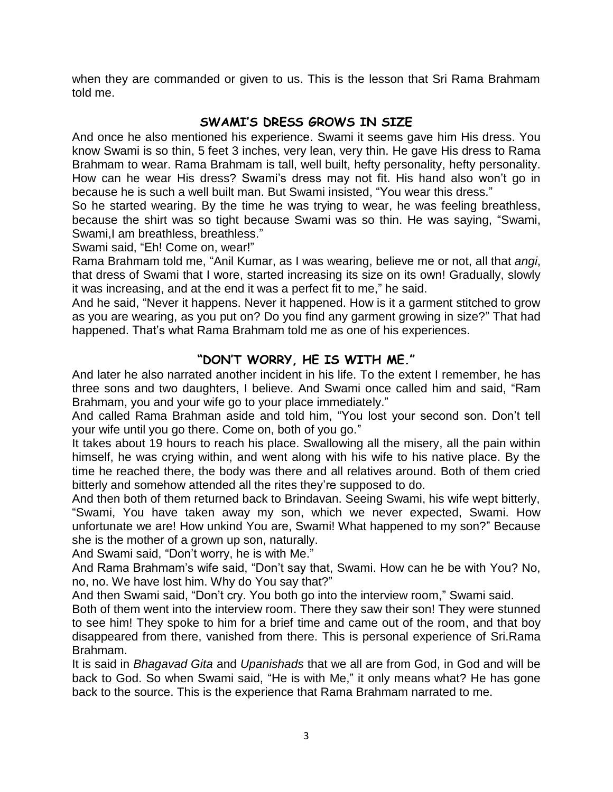when they are commanded or given to us. This is the lesson that Sri Rama Brahmam told me.

### **SWAMI'S DRESS GROWS IN SIZE**

And once he also mentioned his experience. Swami it seems gave him His dress. You know Swami is so thin, 5 feet 3 inches, very lean, very thin. He gave His dress to Rama Brahmam to wear. Rama Brahmam is tall, well built, hefty personality, hefty personality. How can he wear His dress? Swami"s dress may not fit. His hand also won"t go in because he is such a well built man. But Swami insisted, "You wear this dress."

So he started wearing. By the time he was trying to wear, he was feeling breathless, because the shirt was so tight because Swami was so thin. He was saying, "Swami, Swami,I am breathless, breathless."

Swami said, "Eh! Come on, wear!"

Rama Brahmam told me, "Anil Kumar, as I was wearing, believe me or not, all that *angi*, that dress of Swami that I wore, started increasing its size on its own! Gradually, slowly it was increasing, and at the end it was a perfect fit to me," he said.

And he said, "Never it happens. Never it happened. How is it a garment stitched to grow as you are wearing, as you put on? Do you find any garment growing in size?" That had happened. That"s what Rama Brahmam told me as one of his experiences.

#### **"DON'T WORRY, HE IS WITH ME."**

And later he also narrated another incident in his life. To the extent I remember, he has three sons and two daughters, I believe. And Swami once called him and said, "Ram Brahmam, you and your wife go to your place immediately."

And called Rama Brahman aside and told him, "You lost your second son. Don"t tell your wife until you go there. Come on, both of you go."

It takes about 19 hours to reach his place. Swallowing all the misery, all the pain within himself, he was crying within, and went along with his wife to his native place. By the time he reached there, the body was there and all relatives around. Both of them cried bitterly and somehow attended all the rites they"re supposed to do.

And then both of them returned back to Brindavan. Seeing Swami, his wife wept bitterly, "Swami, You have taken away my son, which we never expected, Swami. How unfortunate we are! How unkind You are, Swami! What happened to my son?" Because she is the mother of a grown up son, naturally.

And Swami said, "Don"t worry, he is with Me."

And Rama Brahmam"s wife said, "Don"t say that, Swami. How can he be with You? No, no, no. We have lost him. Why do You say that?"

And then Swami said, "Don"t cry. You both go into the interview room," Swami said.

Both of them went into the interview room. There they saw their son! They were stunned to see him! They spoke to him for a brief time and came out of the room, and that boy disappeared from there, vanished from there. This is personal experience of Sri.Rama Brahmam.

It is said in *Bhagavad Gita* and *Upanishads* that we all are from God, in God and will be back to God. So when Swami said, "He is with Me," it only means what? He has gone back to the source. This is the experience that Rama Brahmam narrated to me.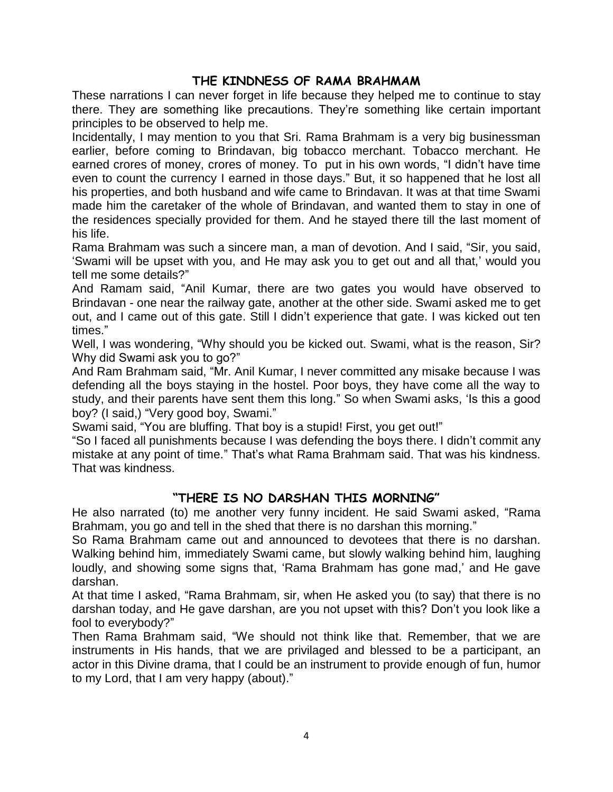### **THE KINDNESS OF RAMA BRAHMAM**

These narrations I can never forget in life because they helped me to continue to stay there. They are something like precautions. They"re something like certain important principles to be observed to help me.

Incidentally, I may mention to you that Sri. Rama Brahmam is a very big businessman earlier, before coming to Brindavan, big tobacco merchant. Tobacco merchant. He earned crores of money, crores of money. To put in his own words, "I didn"t have time even to count the currency I earned in those days." But, it so happened that he lost all his properties, and both husband and wife came to Brindavan. It was at that time Swami made him the caretaker of the whole of Brindavan, and wanted them to stay in one of the residences specially provided for them. And he stayed there till the last moment of his life.

Rama Brahmam was such a sincere man, a man of devotion. And I said, "Sir, you said, "Swami will be upset with you, and He may ask you to get out and all that," would you tell me some details?"

And Ramam said, "Anil Kumar, there are two gates you would have observed to Brindavan - one near the railway gate, another at the other side. Swami asked me to get out, and I came out of this gate. Still I didn"t experience that gate. I was kicked out ten times."

Well, I was wondering, "Why should you be kicked out. Swami, what is the reason, Sir? Why did Swami ask you to go?"

And Ram Brahmam said, "Mr. Anil Kumar, I never committed any misake because I was defending all the boys staying in the hostel. Poor boys, they have come all the way to study, and their parents have sent them this long." So when Swami asks, "Is this a good boy? (I said,) "Very good boy, Swami."

Swami said, "You are bluffing. That boy is a stupid! First, you get out!"

"So I faced all punishments because I was defending the boys there. I didn"t commit any mistake at any point of time." That"s what Rama Brahmam said. That was his kindness. That was kindness.

#### **"THERE IS NO DARSHAN THIS MORNING"**

He also narrated (to) me another very funny incident. He said Swami asked, "Rama Brahmam, you go and tell in the shed that there is no darshan this morning."

So Rama Brahmam came out and announced to devotees that there is no darshan. Walking behind him, immediately Swami came, but slowly walking behind him, laughing loudly, and showing some signs that, "Rama Brahmam has gone mad," and He gave darshan.

At that time I asked, "Rama Brahmam, sir, when He asked you (to say) that there is no darshan today, and He gave darshan, are you not upset with this? Don"t you look like a fool to everybody?"

Then Rama Brahmam said, "We should not think like that. Remember, that we are instruments in His hands, that we are privilaged and blessed to be a participant, an actor in this Divine drama, that I could be an instrument to provide enough of fun, humor to my Lord, that I am very happy (about)."